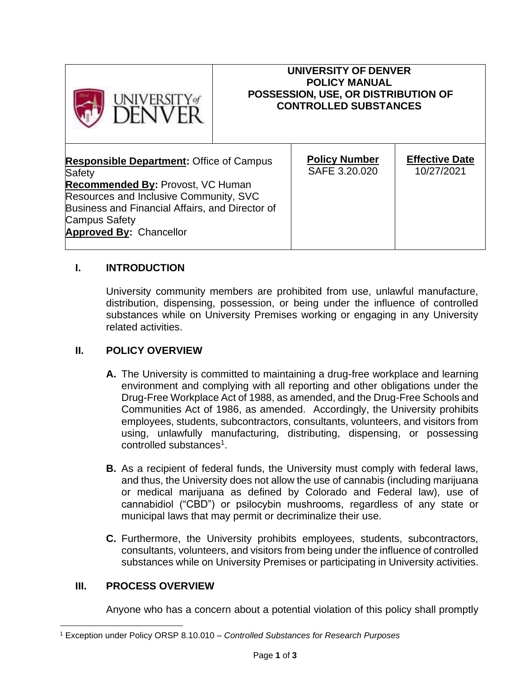

### **UNIVERSITY OF DENVER POLICY MANUAL POSSESSION, USE, OR DISTRIBUTION OF CONTROLLED SUBSTANCES**

| <b>Responsible Department: Office of Campus</b> | <b>Policy Number</b> | <b>Effective Date</b> |
|-------------------------------------------------|----------------------|-----------------------|
| <b>Safety</b>                                   | SAFE 3.20.020        | 10/27/2021            |
| <b>Recommended By: Provost, VC Human</b>        |                      |                       |
| Resources and Inclusive Community, SVC          |                      |                       |
| Business and Financial Affairs, and Director of |                      |                       |
| <b>Campus Safety</b>                            |                      |                       |
| <b>Approved By: Chancellor</b>                  |                      |                       |
|                                                 |                      |                       |

# **I. INTRODUCTION**

University community members are prohibited from use, unlawful manufacture, distribution, dispensing, possession, or being under the influence of controlled substances while on University Premises working or engaging in any University related activities.

## **II. POLICY OVERVIEW**

- **A.** The University is committed to maintaining a drug-free workplace and learning environment and complying with all reporting and other obligations under the Drug-Free Workplace Act of 1988, as amended, and the Drug-Free Schools and Communities Act of 1986, as amended. Accordingly, the University prohibits employees, students, subcontractors, consultants, volunteers, and visitors from using, unlawfully manufacturing, distributing, dispensing, or possessing controlled substances<sup>1</sup>.
- **B.** As a recipient of federal funds, the University must comply with federal laws, and thus, the University does not allow the use of cannabis (including marijuana or medical marijuana as defined by Colorado and Federal law), use of cannabidiol ("CBD") or psilocybin mushrooms, regardless of any state or municipal laws that may permit or decriminalize their use.
- **C.** Furthermore, the University prohibits employees, students, subcontractors, consultants, volunteers, and visitors from being under the influence of controlled substances while on University Premises or participating in University activities.

### **III. PROCESS OVERVIEW**

Anyone who has a concern about a potential violation of this policy shall promptly

<sup>1</sup> Exception under Policy ORSP 8.10.010 – *Controlled Substances for Research Purposes*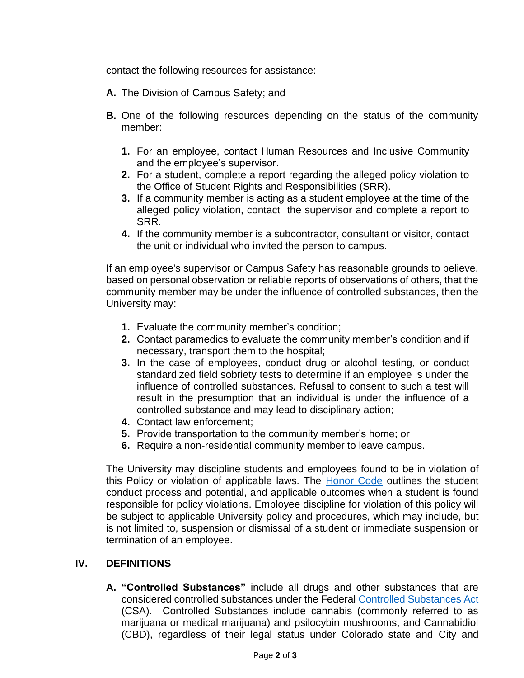contact the following resources for assistance:

- **A.** The Division of Campus Safety; and
- **B.** One of the following resources depending on the status of the community member:
	- **1.** For an employee, contact Human Resources and Inclusive Community and the employee's supervisor.
	- **2.** For a student, complete a report regarding the alleged policy violation to the Office of Student Rights and Responsibilities (SRR).
	- **3.** If a community member is acting as a student employee at the time of the alleged policy violation, contact the supervisor and complete a report to SRR.
	- **4.** If the community member is a subcontractor, consultant or visitor, contact the unit or individual who invited the person to campus.

If an employee's supervisor or Campus Safety has reasonable grounds to believe, based on personal observation or reliable reports of observations of others, that the community member may be under the influence of controlled substances, then the University may:

- **1.** Evaluate the community member's condition;
- **2.** Contact paramedics to evaluate the community member's condition and if necessary, transport them to the hospital;
- **3.** In the case of employees, conduct drug or alcohol testing, or conduct standardized field sobriety tests to determine if an employee is under the influence of controlled substances. Refusal to consent to such a test will result in the presumption that an individual is under the influence of a controlled substance and may lead to disciplinary action;
- **4.** Contact law enforcement;
- **5.** Provide transportation to the community member's home; or
- **6.** Require a non-residential community member to leave campus.

The University may discipline students and employees found to be in violation of this Policy or violation of applicable laws. The [Honor Code](https://www.du.edu/studentlife/studentconduct/honorcode.html) outlines the student conduct process and potential, and applicable outcomes when a student is found responsible for policy violations. Employee discipline for violation of this policy will be subject to applicable University policy and procedures, which may include, but is not limited to, suspension or dismissal of a student or immediate suspension or termination of an employee.

# **IV. DEFINITIONS**

**A. "Controlled Substances"** include all drugs and other substances that are considered controlled substances under the Federal [Controlled Substances Act](https://www.deadiversion.usdoj.gov/21cfr/21usc/811.htm) (CSA). Controlled Substances include cannabis (commonly referred to as marijuana or medical marijuana) and psilocybin mushrooms, and Cannabidiol (CBD), regardless of their legal status under Colorado state and City and